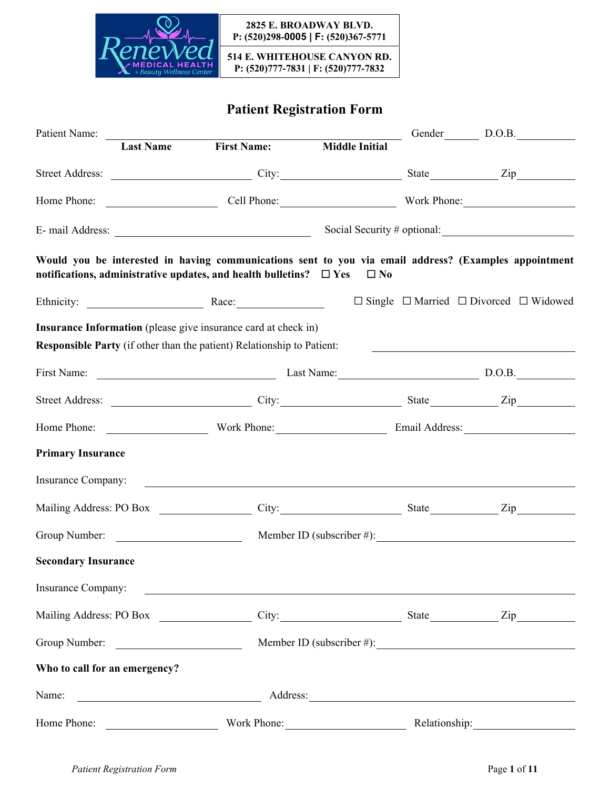

**514 E. WHITEHOUSE CANYON RD. P: (520)777-7831 | F: (520)777-7832**

# **Patient Registration Form**

| Patient Name:                 |                         |                                                                                                                      |                       |        | Gender D.O.B.                                                                                         |  |
|-------------------------------|-------------------------|----------------------------------------------------------------------------------------------------------------------|-----------------------|--------|-------------------------------------------------------------------------------------------------------|--|
|                               | <b>Last Name</b>        | <b>First Name:</b>                                                                                                   | <b>Middle Initial</b> |        |                                                                                                       |  |
|                               |                         |                                                                                                                      |                       |        |                                                                                                       |  |
|                               |                         |                                                                                                                      |                       |        |                                                                                                       |  |
|                               |                         |                                                                                                                      |                       |        |                                                                                                       |  |
|                               |                         | notifications, administrative updates, and health bulletins? $\Box$ Yes                                              | $\Box$ No             |        | Would you be interested in having communications sent to you via email address? (Examples appointment |  |
|                               |                         |                                                                                                                      |                       |        | $\Box$ Single $\Box$ Married $\Box$ Divorced $\Box$ Widowed                                           |  |
|                               |                         | <b>Insurance Information</b> (please give insurance card at check in)                                                |                       |        |                                                                                                       |  |
|                               |                         | Responsible Party (if other than the patient) Relationship to Patient:                                               |                       |        |                                                                                                       |  |
| First Name:                   |                         | Last Name: Last Name:                                                                                                |                       | D.O.B. |                                                                                                       |  |
|                               |                         |                                                                                                                      |                       |        |                                                                                                       |  |
|                               |                         |                                                                                                                      |                       |        |                                                                                                       |  |
| <b>Primary Insurance</b>      |                         |                                                                                                                      |                       |        |                                                                                                       |  |
| Insurance Company:            |                         | <u> 1989 - John Stein, markin amerikan bizi da yang berkenal dan berkenal dan biasa dalam persenaan dan biasa da</u> |                       |        |                                                                                                       |  |
|                               | Mailing Address: PO Box |                                                                                                                      | City: State           |        | $\mathbf{Zip}$                                                                                        |  |
|                               | Group Number:           |                                                                                                                      |                       |        | Member ID (subscriber #):                                                                             |  |
| <b>Secondary Insurance</b>    |                         |                                                                                                                      |                       |        |                                                                                                       |  |
| Insurance Company:            |                         | <u> 1989 - Johann Stein, mars an deutscher Stein und der Stein und der Stein und der Stein und der Stein und der</u> |                       |        |                                                                                                       |  |
|                               | Mailing Address: PO Box |                                                                                                                      |                       |        | City: City: State City:                                                                               |  |
|                               | Group Number:           |                                                                                                                      |                       |        |                                                                                                       |  |
| Who to call for an emergency? |                         |                                                                                                                      |                       |        |                                                                                                       |  |
| Name:                         |                         |                                                                                                                      | Address:              |        |                                                                                                       |  |
| Home Phone:                   |                         |                                                                                                                      | Work Phone:           |        | Relationship:                                                                                         |  |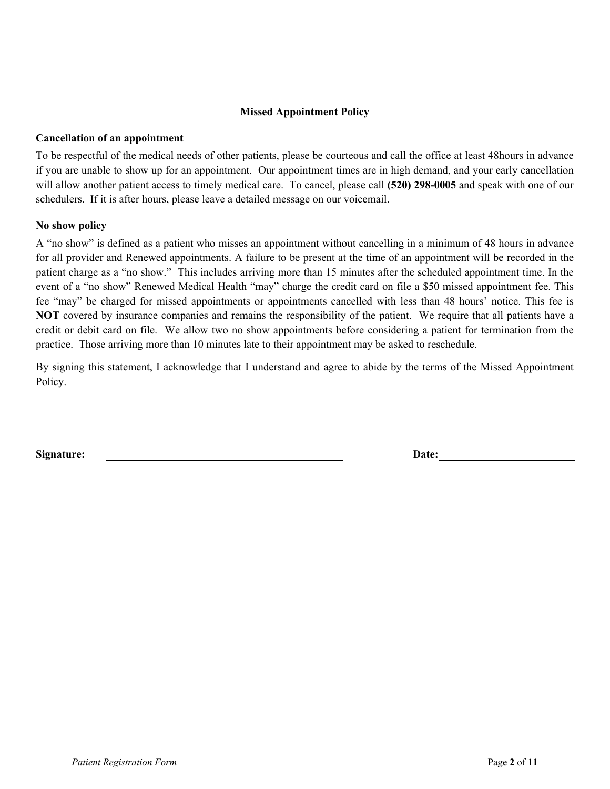#### **Missed Appointment Policy**

#### **Cancellation of an appointment**

To be respectful of the medical needs of other patients, please be courteous and call the office at least 48hours in advance if you are unable to show up for an appointment. Our appointment times are in high demand, and your early cancellation will allow another patient access to timely medical care. To cancel, please call **(520) 298-0005** and speak with one of our schedulers. If it is after hours, please leave a detailed message on our voicemail.

#### **No show policy**

A "no show" is defined as a patient who misses an appointment without cancelling in a minimum of 48 hours in advance for all provider and Renewed appointments. A failure to be present at the time of an appointment will be recorded in the patient charge as a "no show." This includes arriving more than 15 minutes after the scheduled appointment time. In the event of a "no show" Renewed Medical Health "may" charge the credit card on file a \$50 missed appointment fee. This fee "may" be charged for missed appointments or appointments cancelled with less than 48 hours' notice. This fee is **NOT** covered by insurance companies and remains the responsibility of the patient. We require that all patients have a credit or debit card on file. We allow two no show appointments before considering a patient for termination from the practice. Those arriving more than 10 minutes late to their appointment may be asked to reschedule.

By signing this statement, I acknowledge that I understand and agree to abide by the terms of the Missed Appointment Policy.

**Signature: Date:**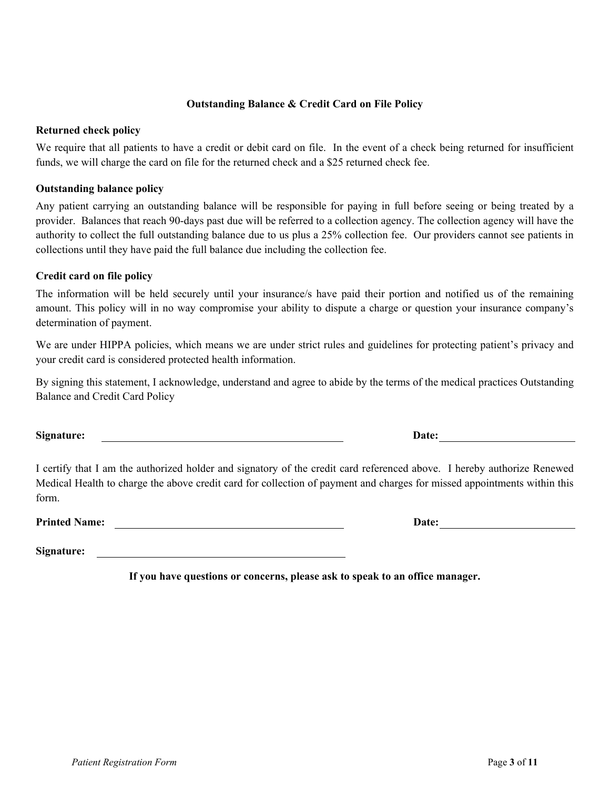### **Outstanding Balance & Credit Card on File Policy**

#### **Returned check policy**

We require that all patients to have a credit or debit card on file. In the event of a check being returned for insufficient funds, we will charge the card on file for the returned check and a \$25 returned check fee.

### **Outstanding balance policy**

Any patient carrying an outstanding balance will be responsible for paying in full before seeing or being treated by a provider. Balances that reach 90-days past due will be referred to a collection agency. The collection agency will have the authority to collect the full outstanding balance due to us plus a 25% collection fee. Our providers cannot see patients in collections until they have paid the full balance due including the collection fee.

### **Credit card on file policy**

The information will be held securely until your insurance/s have paid their portion and notified us of the remaining amount. This policy will in no way compromise your ability to dispute a charge or question your insurance company's determination of payment.

We are under HIPPA policies, which means we are under strict rules and guidelines for protecting patient's privacy and your credit card is considered protected health information.

By signing this statement, I acknowledge, understand and agree to abide by the terms of the medical practices Outstanding Balance and Credit Card Policy

I certify that I am the authorized holder and signatory of the credit card referenced above. I hereby authorize Renewed Medical Health to charge the above credit card for collection of payment and charges for missed appointments within this form.

Printed Name: **Date: Date: Date: Date: Date: Date: Date: Date: Date: Date: Date: Date: Date: Date: Date: Date: Date: Date: Date: Date: Date: Date: Date: Date: Date: Date:**

**Signature:** 

**If you have questions or concerns, please ask to speak to an office manager.** 

**Signature: Date:**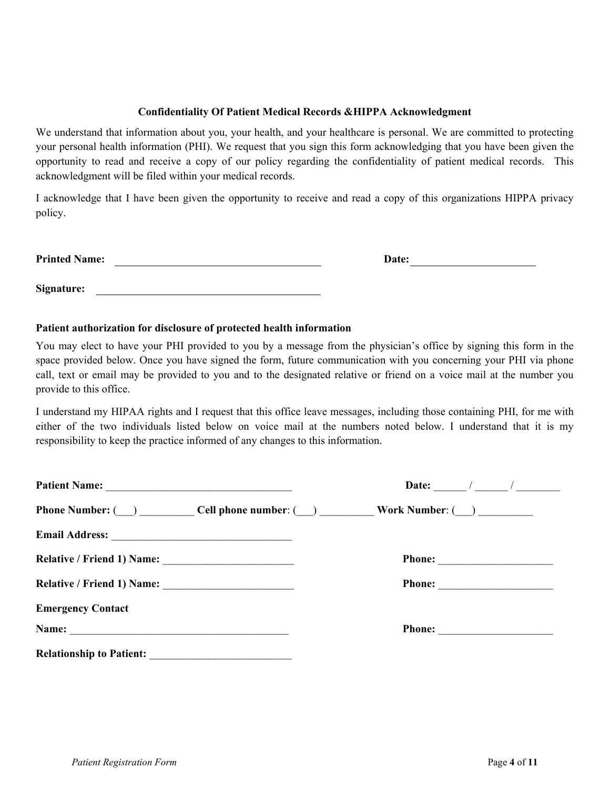#### **Confidentiality Of Patient Medical Records &HIPPA Acknowledgment**

We understand that information about you, your health, and your healthcare is personal. We are committed to protecting your personal health information (PHI). We request that you sign this form acknowledging that you have been given the opportunity to read and receive a copy of our policy regarding the confidentiality of patient medical records. This acknowledgment will be filed within your medical records.

I acknowledge that I have been given the opportunity to receive and read a copy of this organizations HIPPA privacy policy.

| <b>Printed Name:</b> | Date: |
|----------------------|-------|
|                      |       |
|                      |       |

#### **Patient authorization for disclosure of protected health information**

**Signature:** 

You may elect to have your PHI provided to you by a message from the physician's office by signing this form in the space provided below. Once you have signed the form, future communication with you concerning your PHI via phone call, text or email may be provided to you and to the designated relative or friend on a voice mail at the number you provide to this office.

I understand my HIPAA rights and I request that this office leave messages, including those containing PHI, for me with either of the two individuals listed below on voice mail at the numbers noted below. I understand that it is my responsibility to keep the practice informed of any changes to this information.

|                                 | Date: $\frac{1}{\sqrt{2}}$                                |
|---------------------------------|-----------------------------------------------------------|
|                                 | Phone Number: ( ) Cell phone number: ( ) Work Number: ( ) |
|                                 |                                                           |
|                                 | Phone:                                                    |
|                                 | Phone:                                                    |
| <b>Emergency Contact</b>        |                                                           |
|                                 |                                                           |
| <b>Relationship to Patient:</b> |                                                           |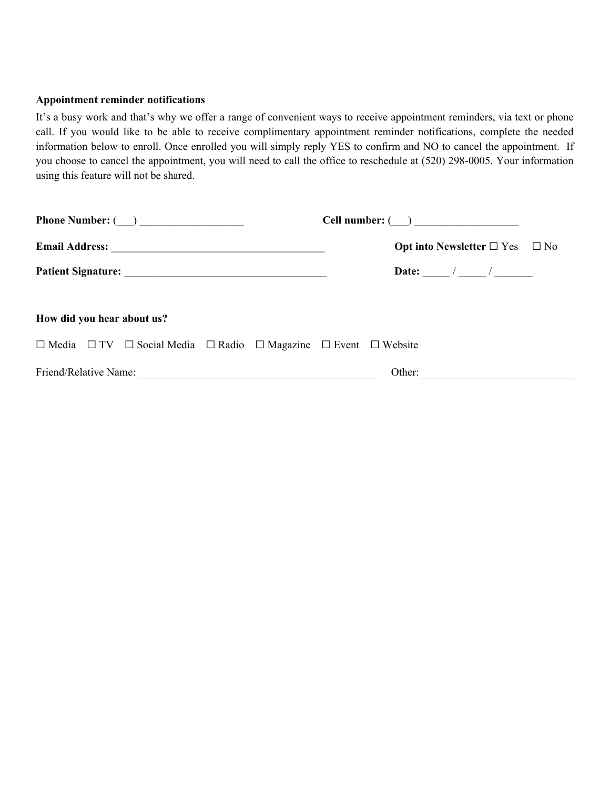#### **Appointment reminder notifications**

It's a busy work and that's why we offer a range of convenient ways to receive appointment reminders, via text or phone call. If you would like to be able to receive complimentary appointment reminder notifications, complete the needed information below to enroll. Once enrolled you will simply reply YES to confirm and NO to cancel the appointment. If you choose to cancel the appointment, you will need to call the office to reschedule at (520) 298-0005. Your information using this feature will not be shared.

| Phone Number: $(\_\_)$                                                                              |                                                         |
|-----------------------------------------------------------------------------------------------------|---------------------------------------------------------|
|                                                                                                     | <b>Opt into Newsletter</b> $\Box$ Yes $\Box$ No         |
|                                                                                                     |                                                         |
| How did you hear about us?                                                                          |                                                         |
| $\Box$ Media $\Box$ TV $\Box$ Social Media $\Box$ Radio $\Box$ Magazine $\Box$ Event $\Box$ Website |                                                         |
|                                                                                                     | Other:<br><u> 1980 - Andrea Andrew Maria (h. 1980).</u> |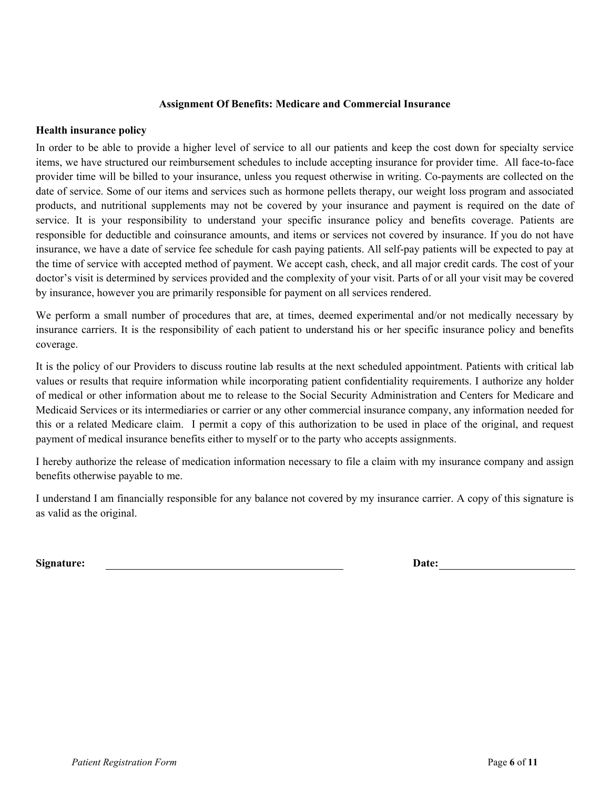#### **Assignment Of Benefits: Medicare and Commercial Insurance**

#### **Health insurance policy**

In order to be able to provide a higher level of service to all our patients and keep the cost down for specialty service items, we have structured our reimbursement schedules to include accepting insurance for provider time. All face-to-face provider time will be billed to your insurance, unless you request otherwise in writing. Co-payments are collected on the date of service. Some of our items and services such as hormone pellets therapy, our weight loss program and associated products, and nutritional supplements may not be covered by your insurance and payment is required on the date of service. It is your responsibility to understand your specific insurance policy and benefits coverage. Patients are responsible for deductible and coinsurance amounts, and items or services not covered by insurance. If you do not have insurance, we have a date of service fee schedule for cash paying patients. All self-pay patients will be expected to pay at the time of service with accepted method of payment. We accept cash, check, and all major credit cards. The cost of your doctor's visit is determined by services provided and the complexity of your visit. Parts of or all your visit may be covered by insurance, however you are primarily responsible for payment on all services rendered.

We perform a small number of procedures that are, at times, deemed experimental and/or not medically necessary by insurance carriers. It is the responsibility of each patient to understand his or her specific insurance policy and benefits coverage.

It is the policy of our Providers to discuss routine lab results at the next scheduled appointment. Patients with critical lab values or results that require information while incorporating patient confidentiality requirements. I authorize any holder of medical or other information about me to release to the Social Security Administration and Centers for Medicare and Medicaid Services or its intermediaries or carrier or any other commercial insurance company, any information needed for this or a related Medicare claim. I permit a copy of this authorization to be used in place of the original, and request payment of medical insurance benefits either to myself or to the party who accepts assignments.

I hereby authorize the release of medication information necessary to file a claim with my insurance company and assign benefits otherwise payable to me.

I understand I am financially responsible for any balance not covered by my insurance carrier. A copy of this signature is as valid as the original.

**Signature:** Date: **Date: Date: Date: Date: Date: Date: Date: Date: Date: Date: Date: Date: Date: Date: Date: Date: Date: Date: Date: Date: Date: Date: Date: Date: Date: Da**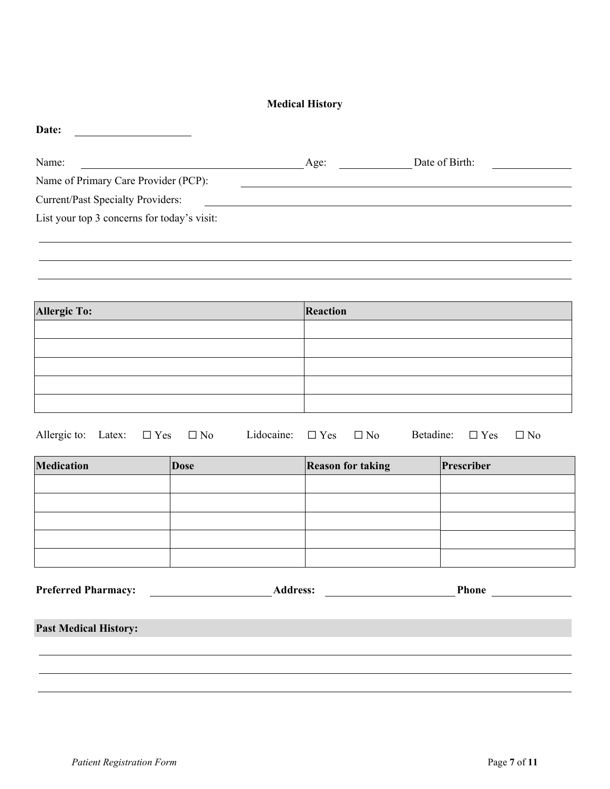# **Medical History**

| Date:                                       |      |                |  |
|---------------------------------------------|------|----------------|--|
| Name:                                       | Age: | Date of Birth: |  |
| Name of Primary Care Provider (PCP):        |      |                |  |
| <b>Current/Past Specialty Providers:</b>    |      |                |  |
| List your top 3 concerns for today's visit: |      |                |  |
|                                             |      |                |  |
|                                             |      |                |  |

| <b>Allergic To:</b> | Reaction |
|---------------------|----------|
|                     |          |
|                     |          |
|                     |          |
|                     |          |
|                     |          |

|  |  |  |  | Allergic to: Latex: $\Box$ Yes $\Box$ No Lidocaine: $\Box$ Yes $\Box$ No Betadine: $\Box$ Yes $\Box$ No |  |  |  |  |  |  |
|--|--|--|--|---------------------------------------------------------------------------------------------------------|--|--|--|--|--|--|
|--|--|--|--|---------------------------------------------------------------------------------------------------------|--|--|--|--|--|--|

| <b>Medication</b> | <b>Dose</b> | <b>Reason for taking</b> | Prescriber |
|-------------------|-------------|--------------------------|------------|
|                   |             |                          |            |
|                   |             |                          |            |
|                   |             |                          |            |
|                   |             |                          |            |
|                   |             |                          |            |

| <b>Preferred Pharmacy:</b> | Address: | Phone |
|----------------------------|----------|-------|
|                            |          |       |

**Past Medical History:**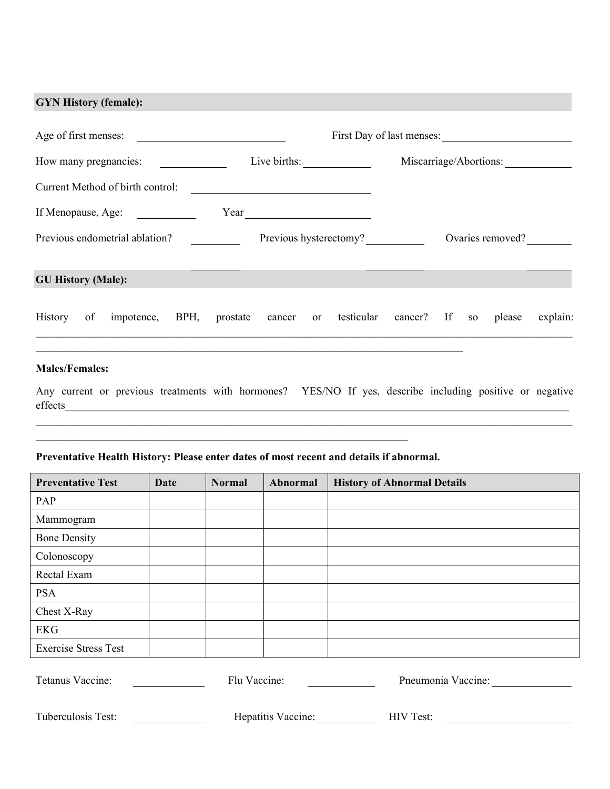# **GYN History (female):**

| Age of first menses:           |                                       |                                                             |                        |                                              |                        | First Day of last menses: |  |  |  |  |        |          |
|--------------------------------|---------------------------------------|-------------------------------------------------------------|------------------------|----------------------------------------------|------------------------|---------------------------|--|--|--|--|--------|----------|
|                                | Live births:<br>How many pregnancies: |                                                             |                        |                                              | Miscarriage/Abortions: |                           |  |  |  |  |        |          |
|                                |                                       | Current Method of birth control:                            |                        | <u> 1989 - Andrea Andrew Maria (b. 1989)</u> |                        |                           |  |  |  |  |        |          |
|                                |                                       | If Menopause, Age:                                          |                        |                                              |                        |                           |  |  |  |  |        |          |
| Previous endometrial ablation? |                                       |                                                             | Previous hysterectomy? |                                              |                        | Ovaries removed?          |  |  |  |  |        |          |
| <b>GU History (Male):</b>      |                                       |                                                             |                        |                                              |                        |                           |  |  |  |  |        |          |
| History of                     |                                       | impotence, BPH, prostate cancer or testicular cancer? If so |                        |                                              |                        |                           |  |  |  |  | please | explain: |
|                                |                                       |                                                             |                        |                                              |                        |                           |  |  |  |  |        |          |

# **Males/Females:**

Any current or previous treatments with hormones? YES/NO If yes, describe including positive or negative effects\_\_\_\_\_\_\_\_\_\_\_\_\_\_\_\_\_\_\_\_\_\_\_\_\_\_\_\_\_\_\_\_\_\_\_\_\_\_\_\_\_\_\_\_\_\_\_\_\_\_\_\_\_\_\_\_\_\_\_\_\_\_\_\_\_\_\_\_\_\_\_\_\_\_\_\_\_\_\_\_\_\_\_\_\_\_\_\_\_\_\_\_

 $\mathcal{L}_\mathcal{L} = \mathcal{L}_\mathcal{L} = \mathcal{L}_\mathcal{L} = \mathcal{L}_\mathcal{L} = \mathcal{L}_\mathcal{L} = \mathcal{L}_\mathcal{L} = \mathcal{L}_\mathcal{L} = \mathcal{L}_\mathcal{L} = \mathcal{L}_\mathcal{L} = \mathcal{L}_\mathcal{L} = \mathcal{L}_\mathcal{L} = \mathcal{L}_\mathcal{L} = \mathcal{L}_\mathcal{L} = \mathcal{L}_\mathcal{L} = \mathcal{L}_\mathcal{L} = \mathcal{L}_\mathcal{L} = \mathcal{L}_\mathcal{L}$ 

### **Preventative Health History: Please enter dates of most recent and details if abnormal.**

 $\mathcal{L}_\text{max} = \mathcal{L}_\text{max} = \mathcal{L}_\text{max} = \mathcal{L}_\text{max} = \mathcal{L}_\text{max} = \mathcal{L}_\text{max} = \mathcal{L}_\text{max} = \mathcal{L}_\text{max} = \mathcal{L}_\text{max} = \mathcal{L}_\text{max} = \mathcal{L}_\text{max} = \mathcal{L}_\text{max} = \mathcal{L}_\text{max} = \mathcal{L}_\text{max} = \mathcal{L}_\text{max} = \mathcal{L}_\text{max} = \mathcal{L}_\text{max} = \mathcal{L}_\text{max} = \mathcal{$ 

| <b>Preventative Test</b>    | Date | <b>Normal</b>            | <b>Abnormal</b> | <b>History of Abnormal Details</b> |
|-----------------------------|------|--------------------------|-----------------|------------------------------------|
| PAP                         |      |                          |                 |                                    |
| Mammogram                   |      |                          |                 |                                    |
| <b>Bone Density</b>         |      |                          |                 |                                    |
| Colonoscopy                 |      |                          |                 |                                    |
| Rectal Exam                 |      |                          |                 |                                    |
| <b>PSA</b>                  |      |                          |                 |                                    |
| Chest X-Ray                 |      |                          |                 |                                    |
| <b>EKG</b>                  |      |                          |                 |                                    |
| <b>Exercise Stress Test</b> |      |                          |                 |                                    |
| $T_{\alpha\beta}$           |      | $\Gamma$ lu $V_{\alpha}$ |                 | $Dn$ and $Dn$ and $Dn$             |

| Tetanus Vaccine:   | Flu Vaccine:       | Pneumonia Vaccine: |
|--------------------|--------------------|--------------------|
| Tuberculosis Test: | Hepatitis Vaccine: | HIV Test:          |
|                    |                    |                    |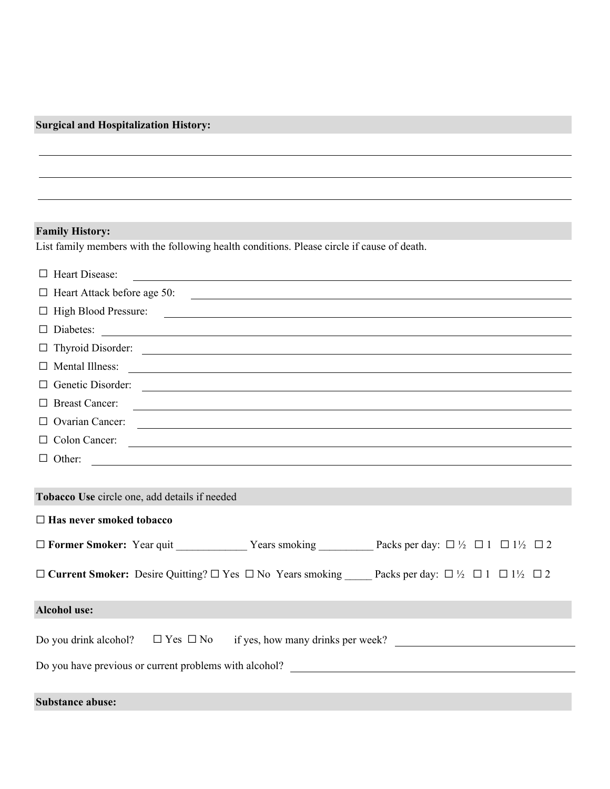# **Surgical and Hospitalization History:**

# **Family History:**

List family members with the following health conditions. Please circle if cause of death.

| $\Box$ Heart Disease:<br><u> 1989 - Johann Stoff, amerikansk politiker (d. 1989)</u>                                                                                   |  |  |  |
|------------------------------------------------------------------------------------------------------------------------------------------------------------------------|--|--|--|
| $\Box$ Heart Attack before age 50:                                                                                                                                     |  |  |  |
|                                                                                                                                                                        |  |  |  |
| $\Box$ Diabetes: $\Box$                                                                                                                                                |  |  |  |
|                                                                                                                                                                        |  |  |  |
| $\Box$ Mental Illness: $\Box$                                                                                                                                          |  |  |  |
|                                                                                                                                                                        |  |  |  |
| $\Box$ Breast Cancer:                                                                                                                                                  |  |  |  |
| $\Box$ Ovarian Cancer: $\Box$                                                                                                                                          |  |  |  |
| $\Box$ Colon Cancer: $\Box$                                                                                                                                            |  |  |  |
|                                                                                                                                                                        |  |  |  |
|                                                                                                                                                                        |  |  |  |
| Tobacco Use circle one, add details if needed                                                                                                                          |  |  |  |
| $\Box$ Has never smoked tobacco                                                                                                                                        |  |  |  |
|                                                                                                                                                                        |  |  |  |
| $\Box$ Current Smoker: Desire Quitting? $\Box$ Yes $\Box$ No Years smoking Packs per day: $\Box$ $\frac{1}{2}$ $\Box$ 11 $\Box$ 1 <sup>1</sup> / <sub>2</sub> $\Box$ 2 |  |  |  |
| <b>Alcohol use:</b>                                                                                                                                                    |  |  |  |
| Do you drink alcohol? $\Box$ Yes $\Box$ No<br>if yes, how many drinks per week?                                                                                        |  |  |  |
|                                                                                                                                                                        |  |  |  |
| <b>Substance abuse:</b>                                                                                                                                                |  |  |  |